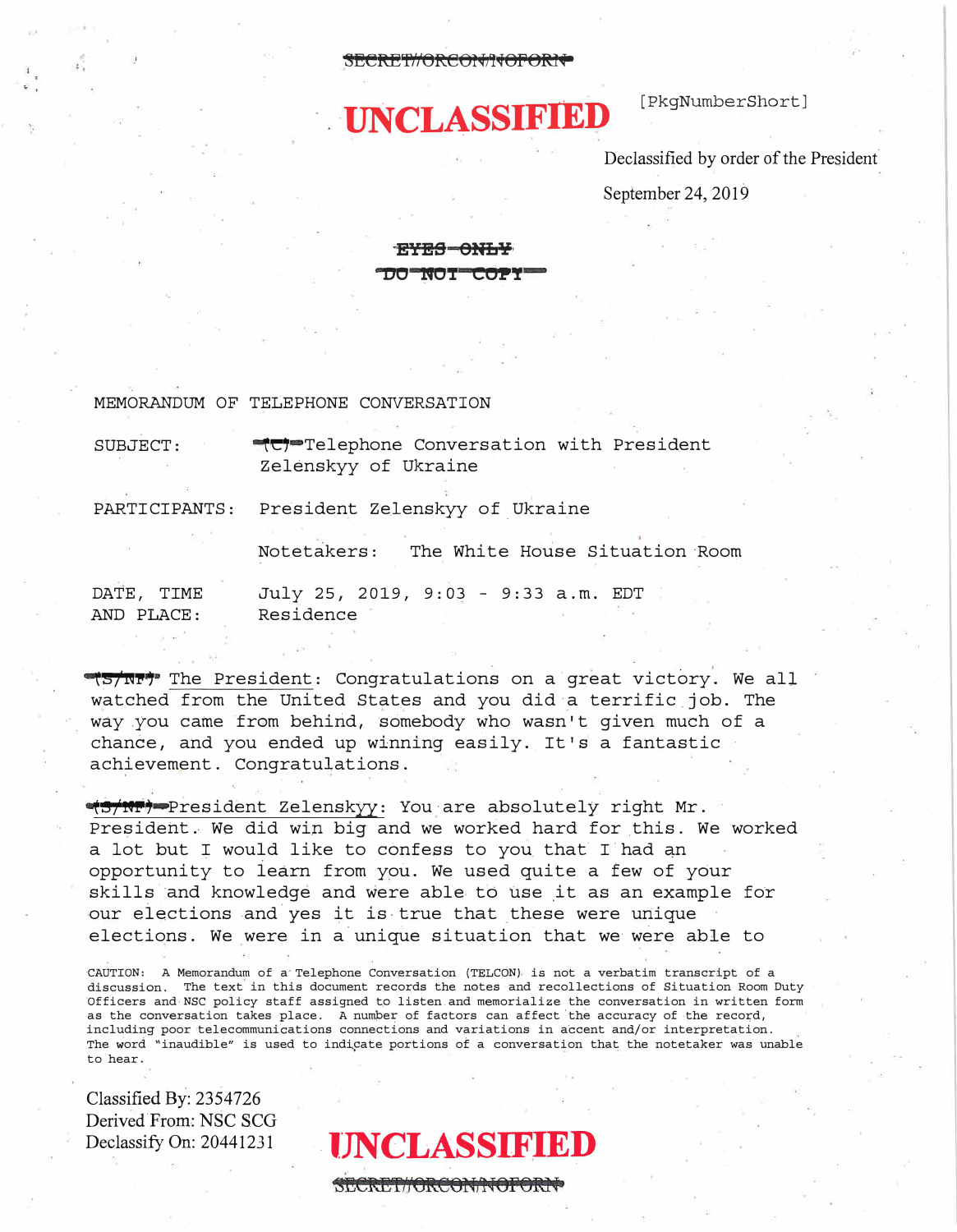**�f;Ctffi'fHOftC01 q,J cfOfi oru..-**

# **·UNCLASSIFIED**

[ PkgNumberShort]

Declassified by order of the President'

September 24, 2019

### **EYES ONLY DO NOi COP!**

MEMORANDUM OF TELEPHONE CONVERSATION

SUBJECT: **Etcle** Telephone Conversation with President Zelenskyy of Ukraine

PARTICIPANTS: President Zelenskyy of Ukraine

Notetakers: The White House Situation·Room

DATE, TIME AND PLACE: July 25, 2019, 9:03 - 9:33 a.m. EDT Residence

**(S/NF)** The President: Congratulations on a great victory. We all watched from the United States and you did a terrific.job. The way you came from behind, somebody who wasn't given much of a chance, and you ended up winning easily. It's a fantastic achievement. Congratulations.

"(5)" President Zelenskyy: You are absolutely right Mr. President. We did win big and we worked hard for this. We worked a lot but I would like to confess to you that I had an opportunity to learn from you. We used quite a few of your skills and knowledge and were able to use it as an example for our elections and yes it is true that these were unique elections. We were in a unique situation that we were able to

CAUTION: A Memorandum of a Telephone Conversation (TELCON) is not a verbatim transcript of a discussion. The text in this document records the notes and recollections of Situation Room Duty Officers and NSC policy staff assigned to listen and memorialize the conversation in written form as the conversation takes place. A number of factors can affect the accuracy of the record, including poor telecommunications connections and variations in accent and/or interpretation. The word "inaudible" is used to indicate portions of a conversation that the notetaker was unable to hear.

Classified By: 2354726 Derived.From: NSC SCG Declassify On: 20441231

**- lJNCLASSIFIED**

SECRET//ORCON/NOTORIV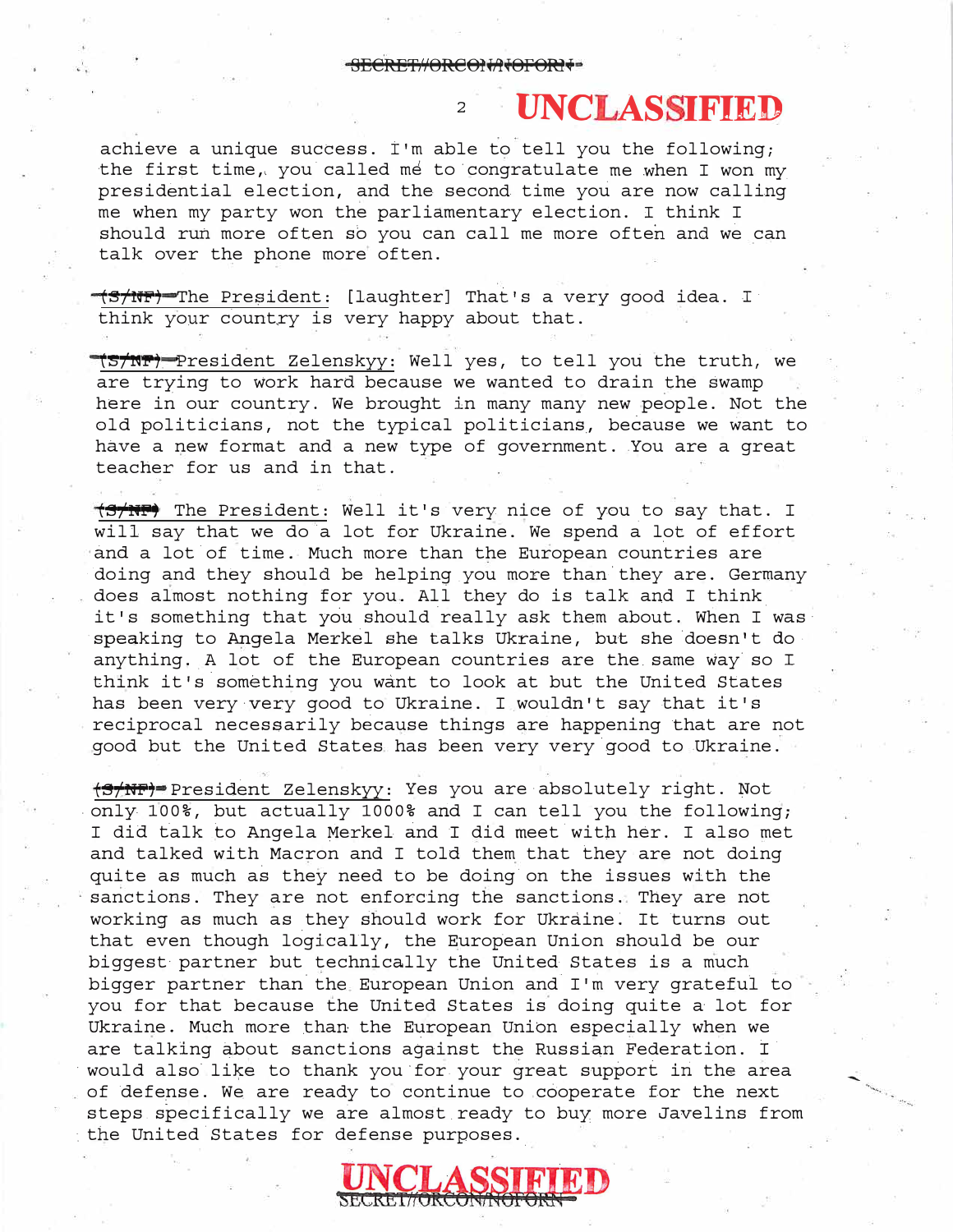### <sup>2</sup> UNCLASSIFIED

achieve a unique success. I'm able to tell you the following; the first time, you called me to congratulate me when I won my presid�ntial election, and the second time you are now calling me when my party won the parliamentary election. I think I should run more often so you can call me more often and we can talk over the phone more often.

 $\overline{\phantom{x}}$  The President: [laughter] That's a very good idea. T think your country is very happy about that.

(S/NF) President Zelenskyy: Well yes, to tell you the truth, we are trying to work hard because we wanted to drain the swamp here in our country. We brought in many many new people. Not the old politicians, not the typical politicians, because we want to have a new format and a new type of government. You are a great teacher for us and in that.

 $\sqrt[4]{3+11}$  The President: Well it's very nice of you to say that. I will say that we do a lot for Ukraine. We spend a lot of effort and a lot of time. Much more than the European countries are doing and they should be helping you more than they are. Germany does almost nothing for you. All they do is talk and I think it's something that you should really ask them about. When I was speaking to Angela Merkel she talks Ukraine, but she doesn't do anything. A lot of the European countries are the. same way· so I think it's something you want to look at but the United States has been very very good to Ukraine. I wouldn't say that it's reciprocal necessarily because things are happening that are not good but the United States has been very very . good to Ukraine.

(3/NF) President Zelenskyy: Yes you are absolutely right. Not only 100%, but actually 1000% and I can tell you the following; I did talk to Angela Merkel and I did meet with her. I also met and talked with Macron and I told them that they are not doing quite as much as they need to be doing·on the issues with the sanctions. They are not enforcing the sanctions. They are not working as much as they should work for Ukraine. It turns out<br>What is a control of the control of the control of the control of the control of the control of the control of that even though logically, the European Union should be our biggest· partner but technically the United States is a much bigger partner than the European Union and I'm very grateful to you for that because the United States is doing quite a· lot for Ukraine. Much more than the European Union especially when we are talking about sanctions against the Russian Federation. I would also like to thank you for your great support in the area of defense. We are ready to continue to cooperate for the next steps specifically we are almost ready to buy more Javelins from the United States for defense purposes.



 $\overline{\phantom{a}}$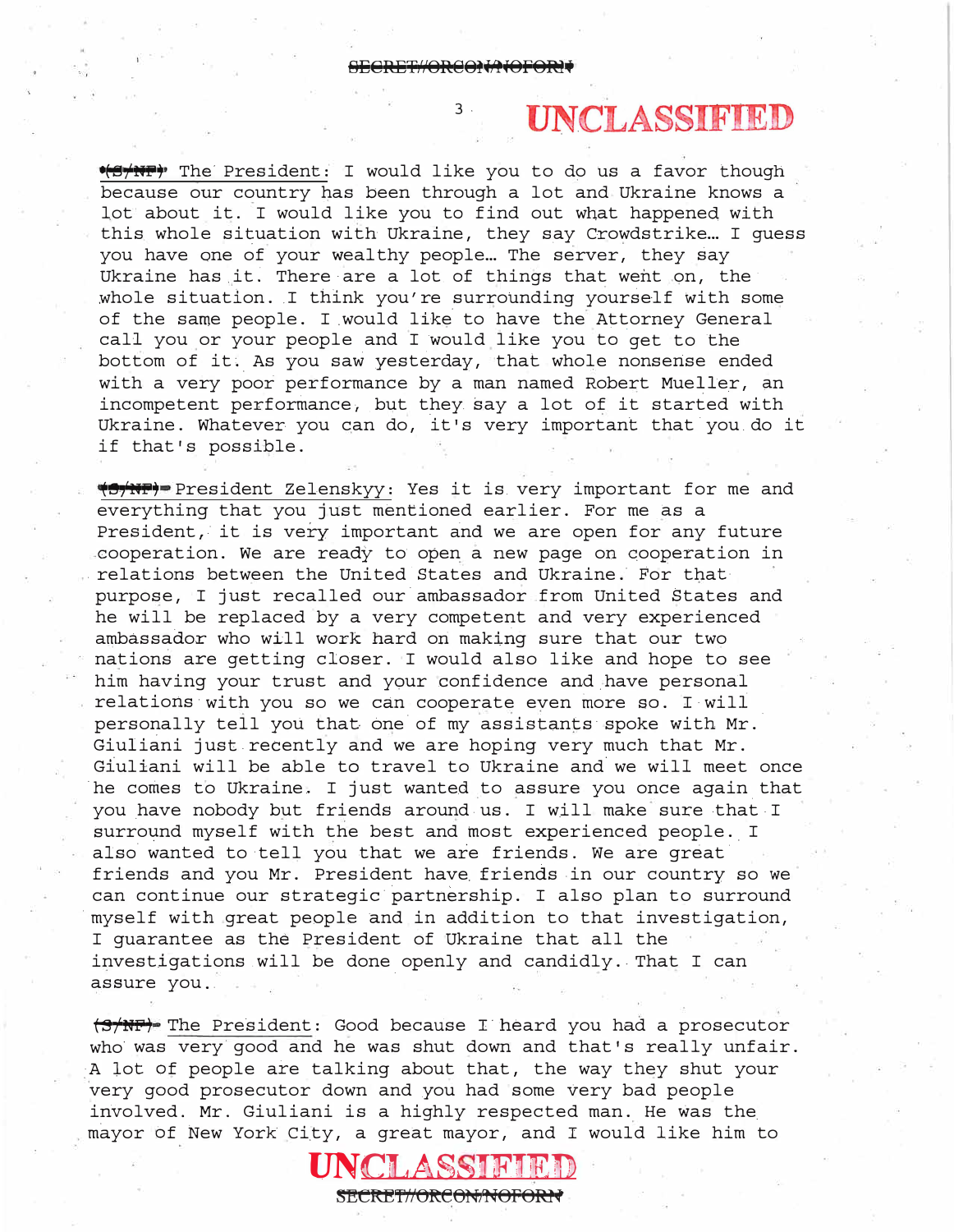3 .

## UNCLASSIFIED

•(S/NP) The President: I would like you to do us a favor though because our country has been through a lot and Ukraine knows a lot about it. I would like you to find out what happened with this whole situation with Ukraine, they say Crowdstrike ... I quess you have one of your wealthy people... The server, they say Ukraine has it. There are a lot of things that went on, the whole situation. I think you're surrounding yourself with some of the same people. I . would like to have the Attorney General call you or your people and I would like you to get to the bottom of it. As you saw yesterday, that whole nonsense ended with a very poor performance by a man named Robert Mueller, an incompetent performance, but they say a lot of it started with Ukraine. Whatever you can do, it's very important that you do it if that's possible.

(C) President Zelenskyy: Yes it is very important for me and everything that you just mentioned earlier. For me as a President, it is very important and we are open for any future cooperation. We are ready to open a new page on cooperation in relations between the United States and Ukraine. For that purpose, I just recalled our ambassador from United States and he will be replaced by a very competent and very experienced ambassador who will work hard on making sure that our two nations are getting closer. I would also like and hope to see him having your trust and your confidence and have personal relations with you so we can cooperate even more so. I will<br>rexecuelly tell you that one of my escistants speke with My personally tell you that one of my assistants spoke with Mr. Giuliani just.recently and we are hoping very much that Mr. Giuliani will be able to travel to Ukraine and we will meet once he comes to Ukraine. I just wanted to assure you once again that you have nobody but friends around us. I will make sure that I surround myself with the best and most experienced people. I also wanted to tell you that we are friends. We are great friends and you Mr. President have friends in our country so we can continue our strategic partnership. I also plan to surround myself with great people and in addition to that investigation, I guarantee as the President of Ukraine that all the investigations will be done openly and candidly. That I can assure you.

 $(3/MF)$  The President: Good because I heard you had a prosecutor who was very good and he was shut down and that's really unfair. A lot of people are talking about that, the way they shut your �ery good prosecutor down and you had some �ery bad people involved. Mr. Giuliani is a highly respected man. He was the\_ mayor of New York City, a great mayor, and I would like him to

UNCLASSHRHED:

**�l!Ctffl'fHO!tCOM;'HOPO!ttf**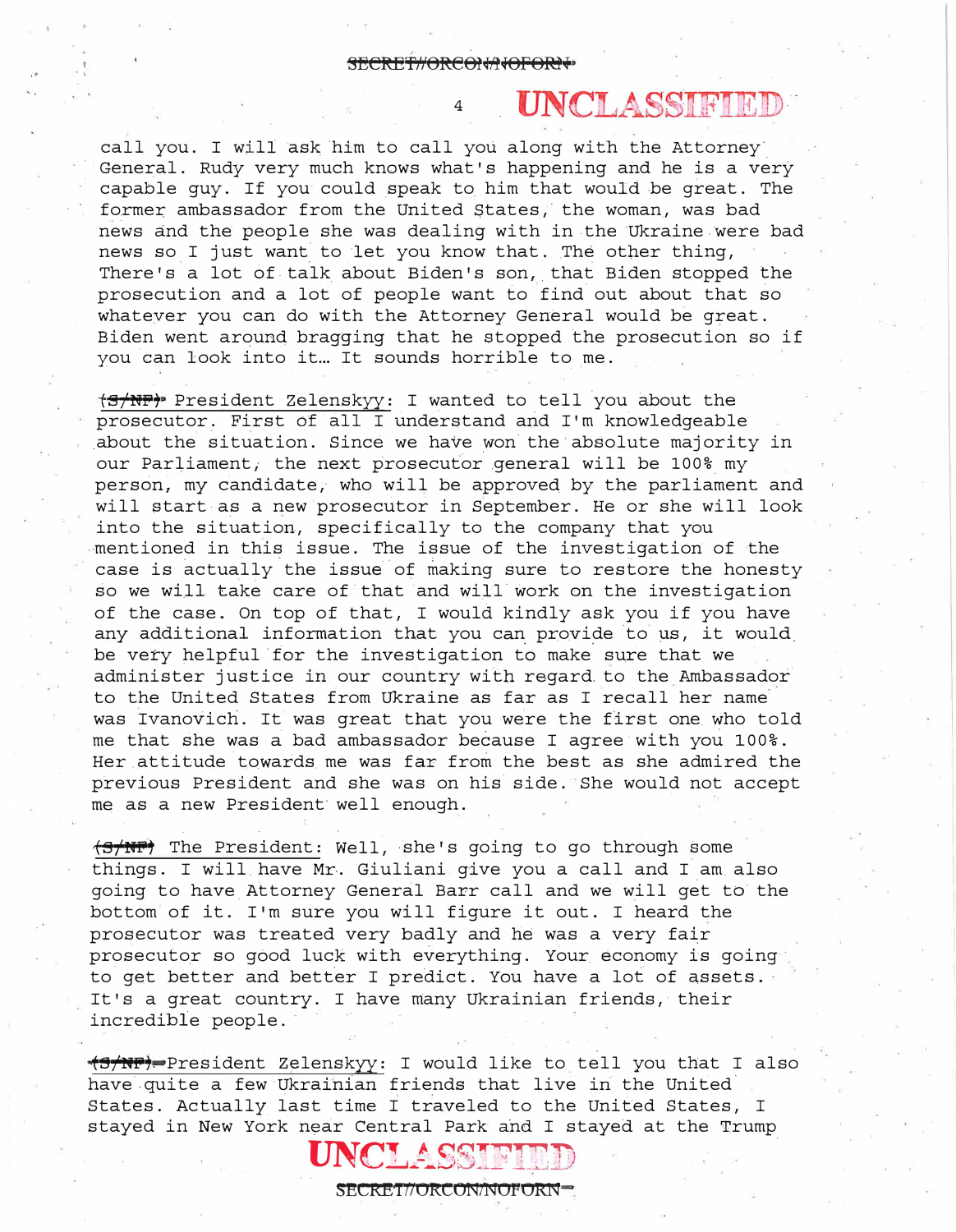#### **SECRET//ORCON/NOFORN+**

4

### UNCLASSIBING

call you. I will ask him to call you along with the Attorney General. Rudy very much knows what's happening and he is a very capable guy. If you could speak to him that would be great. The former ambassador from the United States, the woman, was bad news and the people she was dealing with in the Ukraine were bad news so I just want to let you know that. The other thing, There's a lot of talk about Biden's son, that Biden stopped the prosecution and a lot of people want to find out about that so whatever you can do with the Attorney General would be great. Biden went around bragging that he stopped the prosecution so if you can look into it... It sounds horrible to me.

(S/NF) President Zelenskyy: I wanted to tell you about the prosecutor. First of all I understand and I'm knowledgeable about the situation. Since we have won the absolute majority in our Parliament, the next prosecutor general will be 100% my person, my candidate, who will be approved by the parliament and will start as a new prosecutor in September. He or she will look into the situation, specifically to the company that you mentioned in this issue. The issue of the investigation of the case is actually the issue of making sure to restore the honesty so we will take care of that and will work on the investigation of the case. On top of that, I would kindly ask you if you have any additional information that you can provide to us, it would be very helpful for the investigation to make sure that we administer justice in our country with regard to the Ambassador to the United States from Ukraine as far as I recall her name was Ivanovich. It was great that you were the first one who told me that she was a bad ambassador because I agree with you 100%. Her attitude towards me was far from the best as she admired the previous President and she was on his side. She would not accept me as a new President well enough.

(3/MF) The President: Well, ·she' s going tO go through some things. I will have Mr. Giuliani give you a call and I am also going to have Attorney General Barr call and we will get to the bottom of it. I'm sure you will figure it out. I heard the prosecutor was treated very badly and he was a very fair prosecutor so good luck with everything. Your economy is goingto get better and better I predict. You have a lot of assets. It's a great country. I have many Ukrainian friends, their incredible people.

. . . .

(B/MF�- President Z�lenskyy: I would like to tell you that I also have quite a few Ukrainian friends that live in the United States. Actually last time I traveled to the United States, I stayed in New York near Central Park and I stayed at the Trump

**SECRET/JORCON/NOPORN**